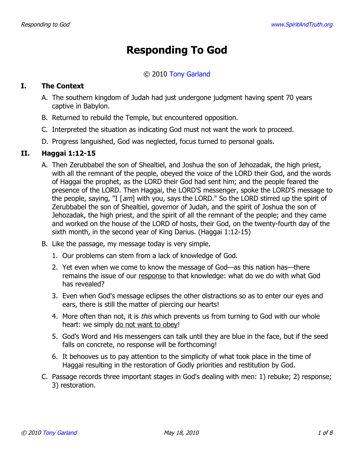# **Responding To God**

### © 2010 [Tony Garland](http://www.spiritandtruth.org/id/tg.htm)

#### **I. The Context**

- A. The southern kingdom of Judah had just undergone judgment having spent 70 years captive in Babylon.
- B. Returned to rebuild the Temple, but encountered opposition.
- C. Interpreted the situation as indicating God must not want the work to proceed.
- D. Progress languished, God was neglected, focus turned to personal goals.

#### **II. Haggai 1:12-15**

- A. Then Zerubbabel the son of Shealtiel, and Joshua the son of Jehozadak, the high priest, with all the remnant of the people, obeyed the voice of the LORD their God, and the words of Haggai the prophet, as the LORD their God had sent him; and the people feared the presence of the LORD. Then Haggai, the LORD'S messenger, spoke the LORD'S message to the people, saying, "I [am] with you, says the LORD." So the LORD stirred up the spirit of Zerubbabel the son of Shealtiel, governor of Judah, and the spirit of Joshua the son of Jehozadak, the high priest, and the spirit of all the remnant of the people; and they came and worked on the house of the LORD of hosts, their God, on the twenty-fourth day of the sixth month, in the second year of King Darius. (Haggai 1:12-15)
- B. Like the passage, my message today is very simple.
	- 1. Our problems can stem from a lack of knowledge of God.
	- 2. Yet even when we come to know the message of God—as this nation has—there remains the issue of our response to that knowledge: what do we do with what God has revealed?
	- 3. Even when God's message eclipses the other distractions so as to enter our eyes and ears, there is still the matter of piercing our hearts!
	- 4. More often than not, it is *this* which prevents us from turning to God with our whole heart: we simply do not want to obey!
	- 5. God's Word and His messengers can talk until they are blue in the face, but if the seed falls on concrete, no response will be forthcoming!
	- 6. It behooves us to pay attention to the simplicity of what took place in the time of Haggai resulting in the restoration of Godly priorities and restitution by God.
- C. Passage records three important stages in God's dealing with men: 1) rebuke; 2) response; 3) restoration.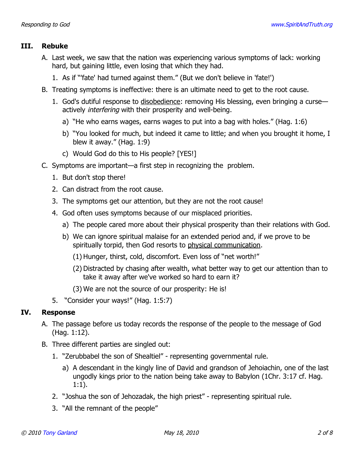# **III. Rebuke**

- A. Last week, we saw that the nation was experiencing various symptoms of lack: working hard, but gaining little, even losing that which they had.
	- 1. As if "'fate' had turned against them." (But we don't believe in 'fate!')
- B. Treating symptoms is ineffective: there is an ultimate need to get to the root cause.
	- 1. God's dutiful response to disobedience: removing His blessing, even bringing a curse actively *interfering* with their prosperity and well-being.
		- a) "He who earns wages, earns wages to put into a bag with holes." (Hag. 1:6)
		- b) "You looked for much, but indeed it came to little; and when you brought it home, I blew it away." (Hag. 1:9)
		- c) Would God do this to His people? [YES!]
- C. Symptoms are important—a first step in recognizing the problem.
	- 1. But don't stop there!
	- 2. Can distract from the root cause.
	- 3. The symptoms get our attention, but they are not the root cause!
	- 4. God often uses symptoms because of our misplaced priorities.
		- a) The people cared more about their physical prosperity than their relations with God.
		- b) We can ignore spiritual malaise for an extended period and, if we prove to be spiritually torpid, then God resorts to physical communication.
			- (1) Hunger, thirst, cold, discomfort. Even loss of "net worth!"
			- (2) Distracted by chasing after wealth, what better way to get our attention than to take it away after we've worked so hard to earn it?
			- (3) We are not the source of our prosperity: He is!
	- 5. "Consider your ways!" (Hag. 1:5:7)

# **IV. Response**

- A. The passage before us today records the response of the people to the message of God (Hag. 1:12).
- B. Three different parties are singled out:
	- 1. "Zerubbabel the son of Shealtiel" representing governmental rule.
		- a) A descendant in the kingly line of David and grandson of Jehoiachin, one of the last ungodly kings prior to the nation being take away to Babylon (1Chr. 3:17 cf. Hag. 1:1).
	- 2. "Joshua the son of Jehozadak, the high priest" representing spiritual rule.
	- 3. "All the remnant of the people"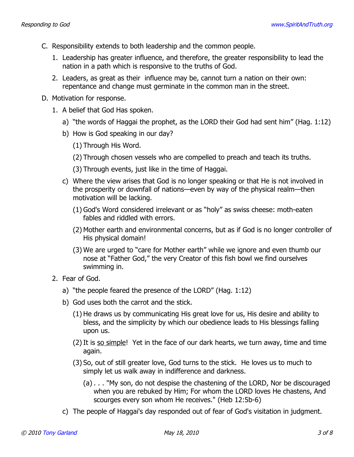- C. Responsibility extends to both leadership and the common people.
	- 1. Leadership has greater influence, and therefore, the greater responsibility to lead the nation in a path which is responsive to the truths of God.
	- 2. Leaders, as great as their influence may be, cannot turn a nation on their own: repentance and change must germinate in the common man in the street.
- D. Motivation for response.
	- 1. A belief that God Has spoken.
		- a) "the words of Haggai the prophet, as the LORD their God had sent him" (Hag. 1:12)
		- b) How is God speaking in our day?
			- (1) Through His Word.
			- (2) Through chosen vessels who are compelled to preach and teach its truths.
			- (3) Through events, just like in the time of Haggai.
		- c) Where the view arises that God is no longer speaking or that He is not involved in the prosperity or downfall of nations—even by way of the physical realm—then motivation will be lacking.
			- (1) God's Word considered irrelevant or as "holy" as swiss cheese: moth-eaten fables and riddled with errors.
			- (2) Mother earth and environmental concerns, but as if God is no longer controller of His physical domain!
			- (3) We are urged to "care for Mother earth" while we ignore and even thumb our nose at "Father God," the very Creator of this fish bowl we find ourselves swimming in.
	- 2. Fear of God.
		- a) "the people feared the presence of the LORD" (Hag. 1:12)
		- b) God uses both the carrot and the stick.
			- (1) He draws us by communicating His great love for us, His desire and ability to bless, and the simplicity by which our obedience leads to His blessings falling upon us.
			- (2) It is so simple! Yet in the face of our dark hearts, we turn away, time and time again.
			- (3) So, out of still greater love, God turns to the stick. He loves us to much to simply let us walk away in indifference and darkness.
				- (a) . . . "My son, do not despise the chastening of the LORD, Nor be discouraged when you are rebuked by Him; For whom the LORD loves He chastens, And scourges every son whom He receives." (Heb 12:5b-6)
		- c) The people of Haggai's day responded out of fear of God's visitation in judgment.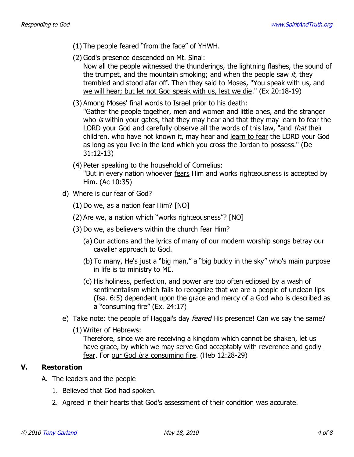- (1) The people feared "from the face" of YHWH.
- (2) God's presence descended on Mt. Sinai:

Now all the people witnessed the thunderings, the lightning flashes, the sound of the trumpet, and the mountain smoking; and when the people saw  $it$ , they trembled and stood afar off. Then they said to Moses, "You speak with us, and we will hear; but let not God speak with us, lest we die." (Ex 20:18-19)

(3) Among Moses' final words to Israel prior to his death:

"Gather the people together, men and women and little ones, and the stranger who is within your gates, that they may hear and that they may learn to fear the LORD your God and carefully observe all the words of this law, "and that their children, who have not known it, may hear and learn to fear the LORD your God as long as you live in the land which you cross the Jordan to possess." (De 31:12-13)

(4) Peter speaking to the household of Cornelius:

"But in every nation whoever fears Him and works righteousness is accepted by Him. (Ac 10:35)

- d) Where is our fear of God?
	- (1) Do we, as a nation fear Him? [NO]
	- (2) Are we, a nation which "works righteousness"? [NO]
	- (3) Do we, as believers within the church fear Him?
		- (a) Our actions and the lyrics of many of our modern worship songs betray our cavalier approach to God.
		- (b) To many, He's just a "big man," a "big buddy in the sky" who's main purpose in life is to ministry to ME.
		- (c) His holiness, perfection, and power are too often eclipsed by a wash of sentimentalism which fails to recognize that we are a people of unclean lips (Isa. 6:5) dependent upon the grace and mercy of a God who is described as a "consuming fire" (Ex. 24:17)
- e) Take note: the people of Haggai's day *feared* His presence! Can we say the same?
	- (1) Writer of Hebrews:

Therefore, since we are receiving a kingdom which cannot be shaken, let us have grace, by which we may serve God acceptably with reverence and godly fear. For our God is a consuming fire. (Heb 12:28-29)

# **V. Restoration**

- A. The leaders and the people
	- 1. Believed that God had spoken.
	- 2. Agreed in their hearts that God's assessment of their condition was accurate.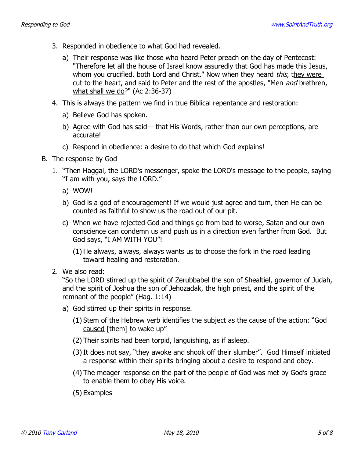- 3. Responded in obedience to what God had revealed.
	- a) Their response was like those who heard Peter preach on the day of Pentecost: "Therefore let all the house of Israel know assuredly that God has made this Jesus, whom you crucified, both Lord and Christ." Now when they heard this, they were cut to the heart, and said to Peter and the rest of the apostles, "Men *and* brethren, what shall we do?" (Ac 2:36-37)
- 4. This is always the pattern we find in true Biblical repentance and restoration:
	- a) Believe God has spoken.
	- b) Agree with God has said— that His Words, rather than our own perceptions, are accurate!
	- c) Respond in obedience: a desire to do that which God explains!
- B. The response by God
	- 1. "Then Haggai, the LORD's messenger, spoke the LORD's message to the people, saying "I am with you, says the LORD."
		- a) WOW!
		- b) God is a god of encouragement! If we would just agree and turn, then He can be counted as faithful to show us the road out of our pit.
		- c) When we have rejected God and things go from bad to worse, Satan and our own conscience can condemn us and push us in a direction even farther from God. But God says, "I AM WITH YOU"!
			- (1) He always, always, always wants us to choose the fork in the road leading toward healing and restoration.
	- 2. We also read:

"So the LORD stirred up the spirit of Zerubbabel the son of Shealtiel, governor of Judah, and the spirit of Joshua the son of Jehozadak, the high priest, and the spirit of the remnant of the people" (Hag. 1:14)

- a) God stirred up their spirits in response.
	- (1) Stem of the Hebrew verb identifies the subject as the cause of the action: "God caused [them] to wake up"
	- (2) Their spirits had been torpid, languishing, as if asleep.
	- (3)It does not say, "they awoke and shook off their slumber". God Himself initiated a response within their spirits bringing about a desire to respond and obey.
	- (4) The meager response on the part of the people of God was met by God's grace to enable them to obey His voice.
	- (5) Examples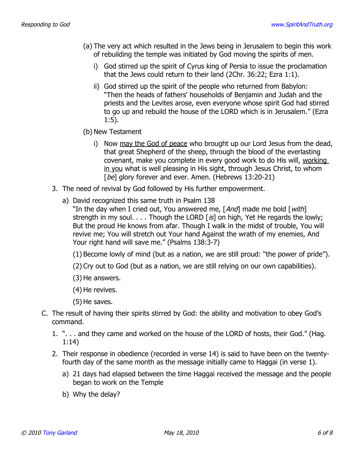- (a) The very act which resulted in the Jews being in Jerusalem to begin this work of rebuilding the temple was initiated by God moving the spirits of men.
	- i) God stirred up the spirit of Cyrus king of Persia to issue the proclamation that the Jews could return to their land (2Chr. 36:22; Ezra 1:1).
	- ii) God stirred up the spirit of the people who returned from Babylon: "Then the heads of fathers' households of Benjamin and Judah and the priests and the Levites arose, even everyone whose spirit God had stirred to go up and rebuild the house of the LORD which is in Jerusalem." (Ezra 1:5).
- (b) New Testament
	- i) Now may the God of peace who brought up our Lord Jesus from the dead, that great Shepherd of the sheep, through the blood of the everlasting covenant, make you complete in every good work to do His will, working in you what is well pleasing in His sight, through Jesus Christ, to whom [be] glory forever and ever. Amen. (Hebrews 13:20-21)
- 3. The need of revival by God followed by His further empowerment.
	- a) David recognized this same truth in Psalm 138
		- "In the day when I cried out, You answered me, [And] made me bold [with] strength in my soul.  $\ldots$  Though the LORD  $\lceil i s \rceil$  on high, Yet He regards the lowly; But the proud He knows from afar. Though I walk in the midst of trouble, You will revive me; You will stretch out Your hand Against the wrath of my enemies, And Your right hand will save me." (Psalms 138:3-7)
		- (1) Become lowly of mind (but as a nation, we are still proud: "the power of pride").
		- (2) Cry out to God (but as a nation, we are still relying on our own capabilities).
		- (3) He answers.
		- (4) He revives.
		- (5) He saves.
- C. The result of having their spirits stirred by God: the ability and motivation to obey God's command.
	- 1. ". . . and they came and worked on the house of the LORD of hosts, their God." (Hag. 1:14)
	- 2. Their response in obedience (recorded in verse 14) is said to have been on the twentyfourth day of the same month as the message initially came to Haggai (in verse 1).
		- a) 21 days had elapsed between the time Haggai received the message and the people began to work on the Temple
		- b) Why the delay?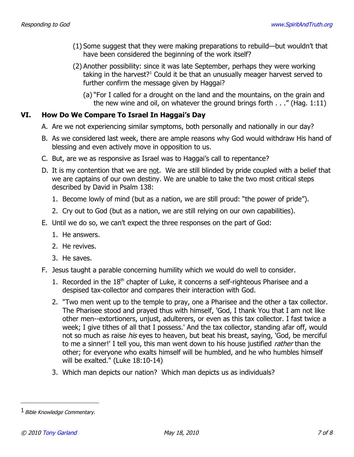- (1) Some suggest that they were making preparations to rebuild—but wouldn't that have been considered the beginning of the work itself?
- (2) Another possibility: since it was late September, perhaps they were working taking in the harvest?<sup>[1](#page-6-0)</sup> Could it be that an unusually meager harvest served to further confirm the message given by Haggai?
	- (a) "For I called for a drought on the land and the mountains, on the grain and the new wine and oil, on whatever the ground brings forth . . ." (Hag. 1:11)

## **VI. How Do We Compare To Israel In Haggai's Day**

- A. Are we not experiencing similar symptoms, both personally and nationally in our day?
- B. As we considered last week, there are ample reasons why God would withdraw His hand of blessing and even actively move in opposition to us.
- C. But, are we as responsive as Israel was to Haggai's call to repentance?
- D. It is my contention that we are not. We are still blinded by pride coupled with a belief that we are captains of our own destiny. We are unable to take the two most critical steps described by David in Psalm 138:
	- 1. Become lowly of mind (but as a nation, we are still proud: "the power of pride").
	- 2. Cry out to God (but as a nation, we are still relying on our own capabilities).
- E. Until we do so, we can't expect the three responses on the part of God:
	- 1. He answers.
	- 2. He revives.
	- 3. He saves.
- F. Jesus taught a parable concerning humility which we would do well to consider.
	- 1. Recorded in the  $18<sup>th</sup>$  chapter of Luke, it concerns a self-righteous Pharisee and a despised tax-collector and compares their interaction with God.
	- 2. "Two men went up to the temple to pray, one a Pharisee and the other a tax collector. The Pharisee stood and prayed thus with himself, 'God, I thank You that I am not like other men--extortioners, unjust, adulterers, or even as this tax collector. I fast twice a week; I give tithes of all that I possess.' And the tax collector, standing afar off, would not so much as raise *his* eyes to heaven, but beat his breast, saying, 'God, be merciful to me a sinner!' I tell you, this man went down to his house justified *rather* than the other; for everyone who exalts himself will be humbled, and he who humbles himself will be exalted." (Luke 18:10-14)
	- 3. Which man depicts our nation? Which man depicts us as individuals?

<span id="page-6-0"></span> $<sup>1</sup>$  Bible Knowledge Commentary.</sup>